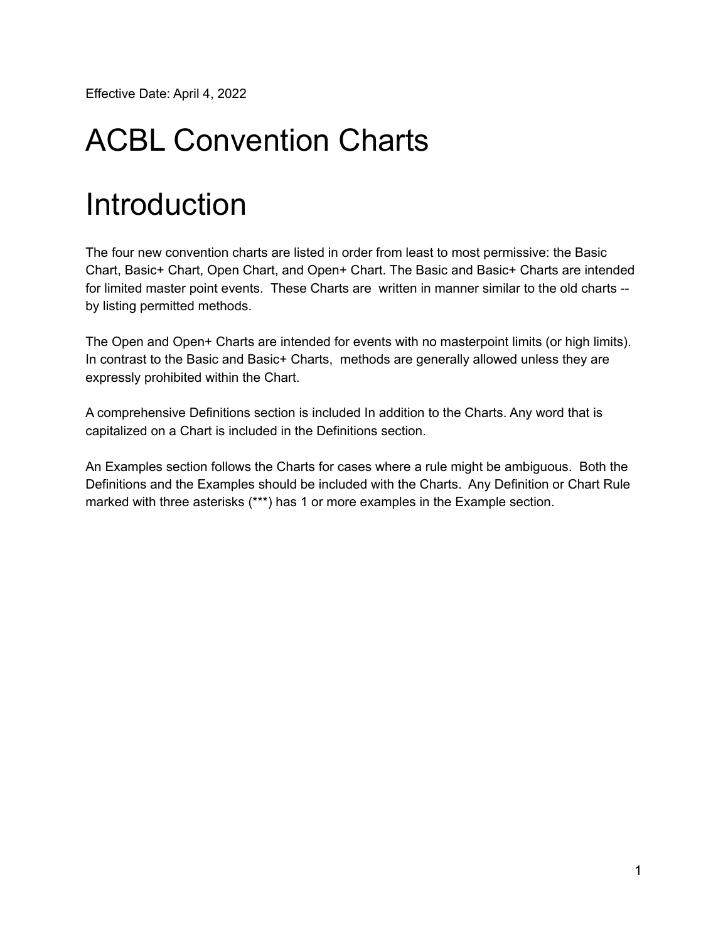Effective Date: April 4, 2022

# ACBL Convention Charts

# Introduction

The four new convention charts are listed in order from least to most permissive: the Basic Chart, Basic+ Chart, Open Chart, and Open+ Chart. The Basic and Basic+ Charts are intended for limited master point events. These Charts are written in manner similar to the old charts - by listing permitted methods.

The Open and Open+ Charts are intended for events with no masterpoint limits (or high limits). In contrast to the Basic and Basic+ Charts, methods are generally allowed unless they are expressly prohibited within the Chart.

A comprehensive Definitions section is included In addition to the Charts. Any word that is capitalized on a Chart is included in the Definitions section.

An Examples section follows the Charts for cases where a rule might be ambiguous. Both the Definitions and the Examples should be included with the Charts. Any Definition or Chart Rule marked with three asterisks (\*\*\*) has 1 or more examples in the Example section.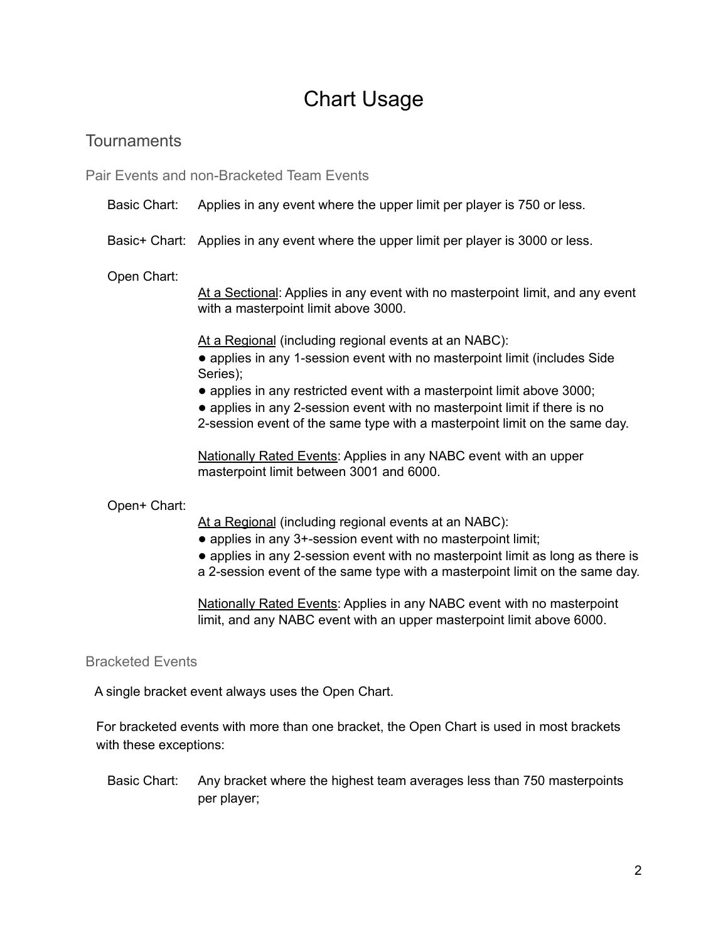### Chart Usage

### **Tournaments**

Pair Events and non-Bracketed Team Events

#### Basic Chart: Applies in any event where the upper limit per player is 750 or less.

Basic+ Chart: Applies in any event where the upper limit per player is 3000 or less.

Open Chart:

At a Sectional: Applies in any event with no masterpoint limit, and any event with a masterpoint limit above 3000.

At a Regional (including regional events at an NABC):

- **●** applies in any 1-session event with no masterpoint limit (includes Side Series);
- **●** applies in any restricted event with a masterpoint limit above 3000;
- **●** applies in any 2-session event with no masterpoint limit if there is no
- 2-session event of the same type with a masterpoint limit on the same day.

Nationally Rated Events: Applies in any NABC event with an upper masterpoint limit between 3001 and 6000.

#### Open+ Chart:

At a Regional (including regional events at an NABC):

- **●** applies in any 3+-session event with no masterpoint limit;
- **●** applies in any 2-session event with no masterpoint limit as long as there is
- a 2-session event of the same type with a masterpoint limit on the same day.

Nationally Rated Events: Applies in any NABC event with no masterpoint limit, and any NABC event with an upper masterpoint limit above 6000.

#### Bracketed Events

A single bracket event always uses the Open Chart.

For bracketed events with more than one bracket, the Open Chart is used in most brackets with these exceptions:

Basic Chart: Any bracket where the highest team averages less than 750 masterpoints per player;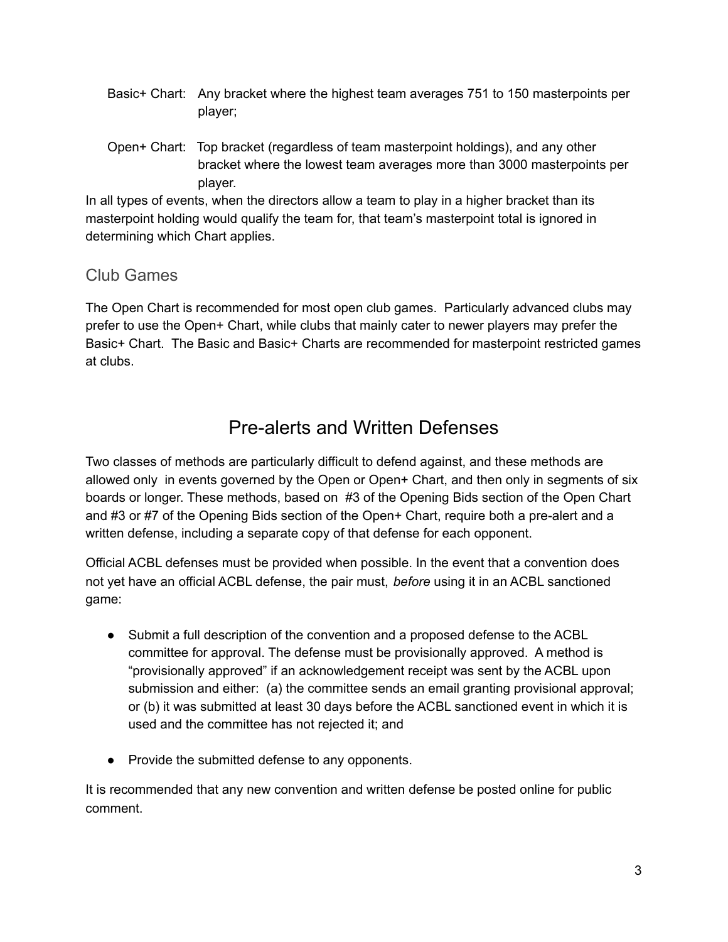- Basic+ Chart: Any bracket where the highest team averages 751 to 150 masterpoints per player;
- Open+ Chart: Top bracket (regardless of team masterpoint holdings), and any other bracket where the lowest team averages more than 3000 masterpoints per player.

In all types of events, when the directors allow a team to play in a higher bracket than its masterpoint holding would qualify the team for, that team's masterpoint total is ignored in determining which Chart applies.

### Club Games

The Open Chart is recommended for most open club games. Particularly advanced clubs may prefer to use the Open+ Chart, while clubs that mainly cater to newer players may prefer the Basic+ Chart. The Basic and Basic+ Charts are recommended for masterpoint restricted games at clubs.

### Pre-alerts and Written Defenses

Two classes of methods are particularly difficult to defend against, and these methods are allowed only in events governed by the Open or Open+ Chart, and then only in segments of six boards or longer. These methods, based on #3 of the Opening Bids section of the Open Chart and #3 or #7 of the Opening Bids section of the Open+ Chart, require both a pre-alert and a written defense, including a separate copy of that defense for each opponent.

Official ACBL defenses must be provided when possible. In the event that a convention does not yet have an official ACBL defense, the pair must, *before* using it in an ACBL sanctioned game:

- Submit a full description of the convention and a proposed defense to the ACBL committee for approval. The defense must be provisionally approved. A method is "provisionally approved" if an acknowledgement receipt was sent by the ACBL upon submission and either: (a) the committee sends an email granting provisional approval; or (b) it was submitted at least 30 days before the ACBL sanctioned event in which it is used and the committee has not rejected it; and
- Provide the submitted defense to any opponents.

It is recommended that any new convention and written defense be posted online for public comment.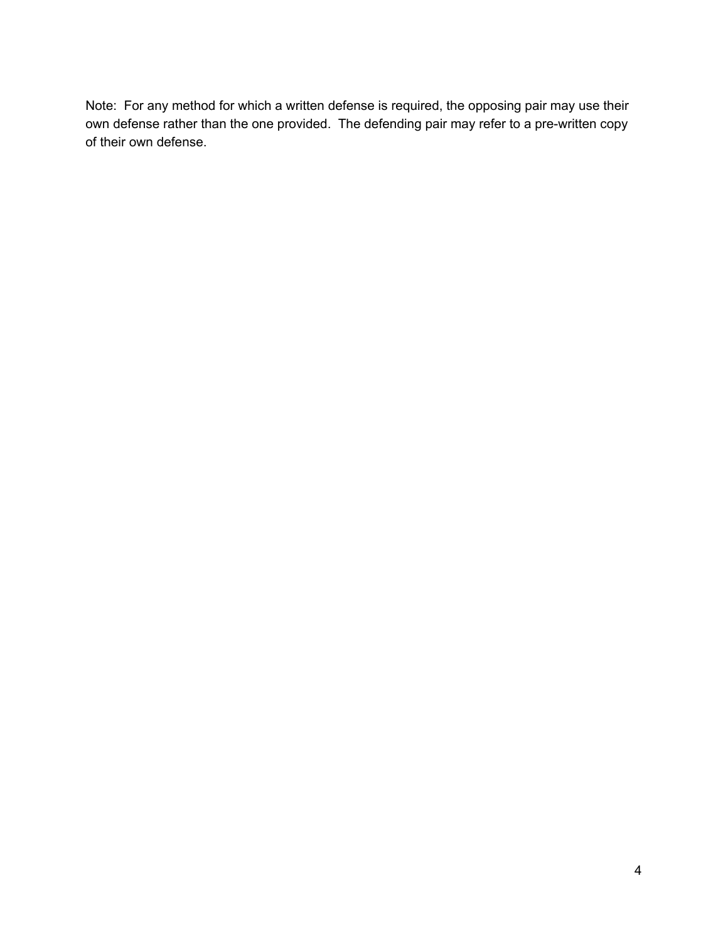Note: For any method for which a written defense is required, the opposing pair may use their own defense rather than the one provided. The defending pair may refer to a pre-written copy of their own defense.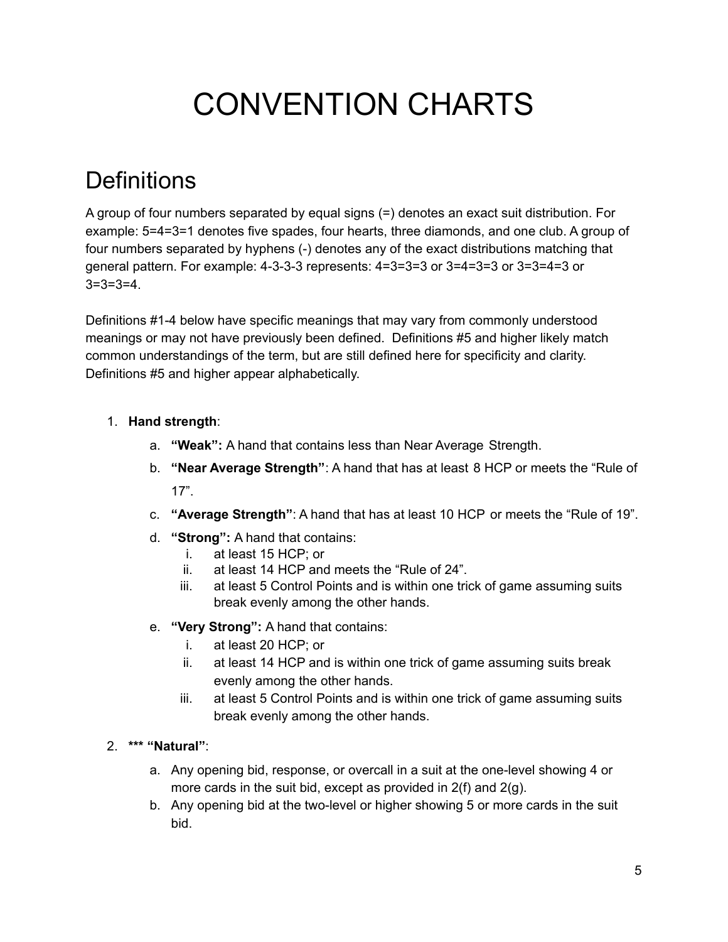# CONVENTION CHARTS

# **Definitions**

A group of four numbers separated by equal signs (=) denotes an exact suit distribution. For example: 5=4=3=1 denotes five spades, four hearts, three diamonds, and one club. A group of four numbers separated by hyphens (-) denotes any of the exact distributions matching that general pattern. For example: 4-3-3-3 represents: 4=3=3=3 or 3=4=3=3 or 3=3=4=3 or 3=3=3=4.

Definitions #1-4 below have specific meanings that may vary from commonly understood meanings or may not have previously been defined. Definitions #5 and higher likely match common understandings of the term, but are still defined here for specificity and clarity. Definitions #5 and higher appear alphabetically.

#### 1. **Hand strength**:

- a. **"Weak":** A hand that contains less than Near Average Strength.
- b. **"Near Average Strength"**: A hand that has at least 8 HCP or meets the "Rule of 17".
- c. **"Average Strength"**: A hand that has at least 10 HCP or meets the "Rule of 19".
- d. **"Strong":** A hand that contains:
	- i. at least 15 HCP; or
	- ii. at least 14 HCP and meets the "Rule of 24".
	- iii. at least 5 Control Points and is within one trick of game assuming suits break evenly among the other hands.
- e. **"Very Strong":** A hand that contains:
	- i. at least 20 HCP; or
	- ii. at least 14 HCP and is within one trick of game assuming suits break evenly among the other hands.
	- iii. at least 5 Control Points and is within one trick of game assuming suits break evenly among the other hands.

#### 2. **\*\*\* "Natural"**:

- a. Any opening bid, response, or overcall in a suit at the one-level showing 4 or more cards in the suit bid, except as provided in 2(f) and 2(g).
- b. Any opening bid at the two-level or higher showing 5 or more cards in the suit bid.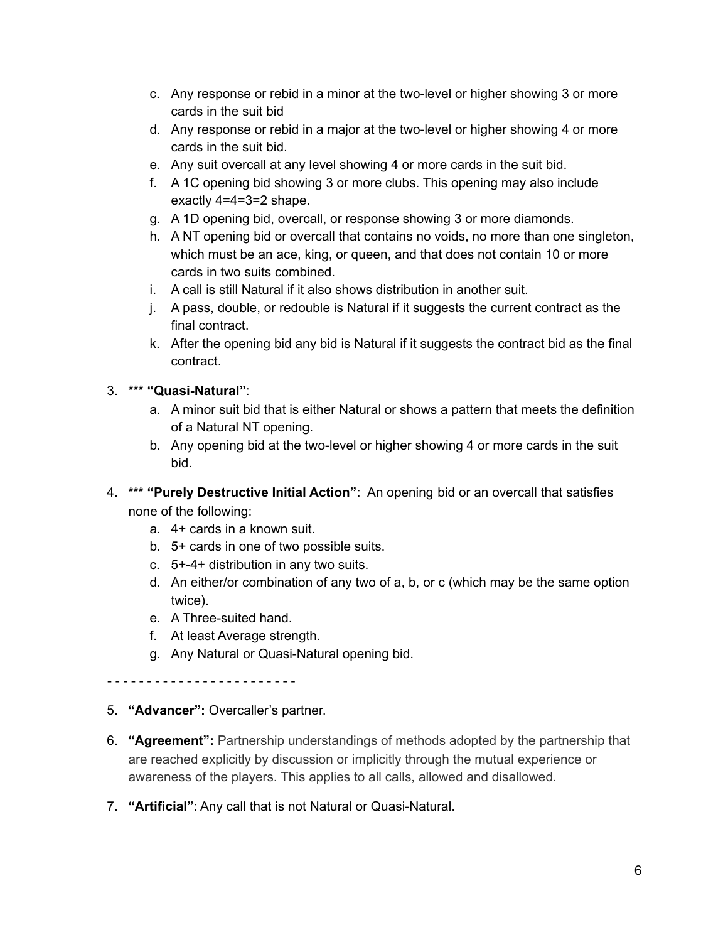- c. Any response or rebid in a minor at the two-level or higher showing 3 or more cards in the suit bid
- d. Any response or rebid in a major at the two-level or higher showing 4 or more cards in the suit bid.
- e. Any suit overcall at any level showing 4 or more cards in the suit bid.
- f. A 1C opening bid showing 3 or more clubs. This opening may also include exactly 4=4=3=2 shape.
- g. A 1D opening bid, overcall, or response showing 3 or more diamonds.
- h. A NT opening bid or overcall that contains no voids, no more than one singleton, which must be an ace, king, or queen, and that does not contain 10 or more cards in two suits combined.
- i. A call is still Natural if it also shows distribution in another suit.
- j. A pass, double, or redouble is Natural if it suggests the current contract as the final contract.
- k. After the opening bid any bid is Natural if it suggests the contract bid as the final contract.

#### 3. **\*\*\* "Quasi-Natural"**:

- a. A minor suit bid that is either Natural or shows a pattern that meets the definition of a Natural NT opening.
- b. Any opening bid at the two-level or higher showing 4 or more cards in the suit bid.
- 4. **\*\*\* "Purely Destructive Initial Action"**: An opening bid or an overcall that satisfies none of the following:
	- a. 4+ cards in a known suit.
	- b. 5+ cards in one of two possible suits.
	- c. 5+-4+ distribution in any two suits.
	- d. An either/or combination of any two of a, b, or c (which may be the same option twice).
	- e. A Three-suited hand.
	- f. At least Average strength.
	- g. Any Natural or Quasi-Natural opening bid.

- - - - - - - - - - - - - - - - - - - - - - - -

#### 5. **"Advancer":** Overcaller's partner.

- 6. **"Agreement":** Partnership understandings of methods adopted by the partnership that are reached explicitly by discussion or implicitly through the mutual experience or awareness of the players. This applies to all calls, allowed and disallowed.
- 7. **"Artificial"**: Any call that is not Natural or Quasi-Natural.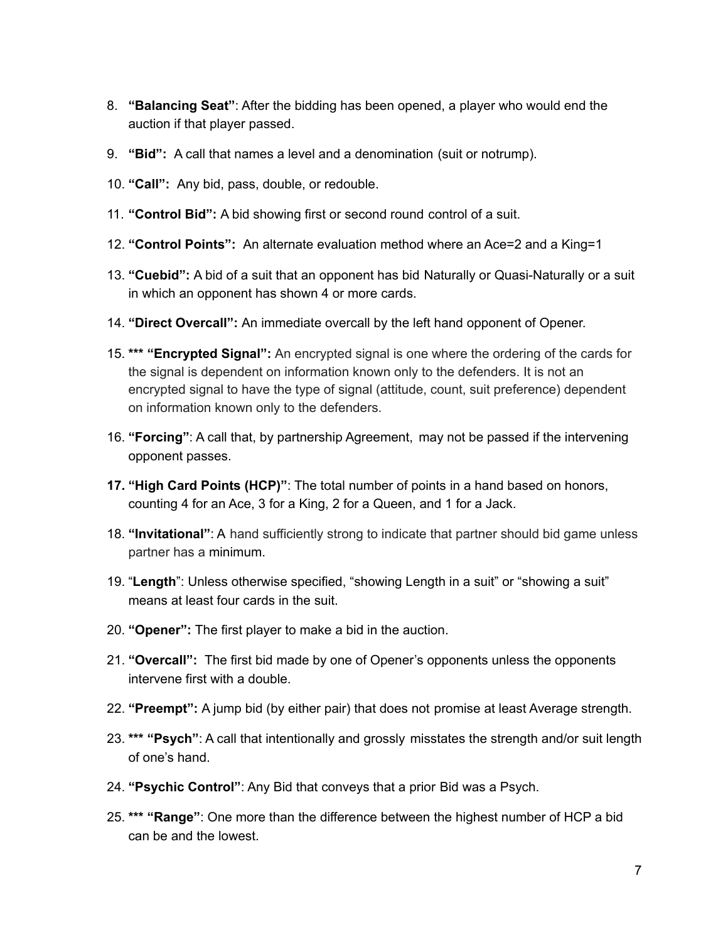- 8. **"Balancing Seat"**: After the bidding has been opened, a player who would end the auction if that player passed.
- 9. **"Bid":** A call that names a level and a denomination (suit or notrump).
- 10. **"Call":** Any bid, pass, double, or redouble.
- 11. **"Control Bid":** A bid showing first or second round control of a suit.
- 12. **"Control Points":** An alternate evaluation method where an Ace=2 and a King=1
- 13. **"Cuebid":** A bid of a suit that an opponent has bid Naturally or Quasi-Naturally or a suit in which an opponent has shown 4 or more cards.
- 14. **"Direct Overcall":** An immediate overcall by the left hand opponent of Opener.
- 15. **\*\*\* "Encrypted Signal":** An encrypted signal is one where the ordering of the cards for the signal is dependent on information known only to the defenders. It is not an encrypted signal to have the type of signal (attitude, count, suit preference) dependent on information known only to the defenders.
- 16. **"Forcing"**: A call that, by partnership Agreement, may not be passed if the intervening opponent passes.
- **17. "High Card Points (HCP)"**: The total number of points in a hand based on honors, counting 4 for an Ace, 3 for a King, 2 for a Queen, and 1 for a Jack.
- 18. **"Invitational"**: A hand sufficiently strong to indicate that partner should bid game unless partner has a minimum.
- 19. "**Length**": Unless otherwise specified, "showing Length in a suit" or "showing a suit" means at least four cards in the suit.
- 20. **"Opener":** The first player to make a bid in the auction.
- 21. **"Overcall":** The first bid made by one of Opener's opponents unless the opponents intervene first with a double.
- 22. **"Preempt":** A jump bid (by either pair) that does not promise at least Average strength.
- 23. **\*\*\* "Psych"**: A call that intentionally and grossly misstates the strength and/or suit length of one's hand.
- 24. **"Psychic Control"**: Any Bid that conveys that a prior Bid was a Psych.
- 25. **\*\*\* "Range"**: One more than the difference between the highest number of HCP a bid can be and the lowest.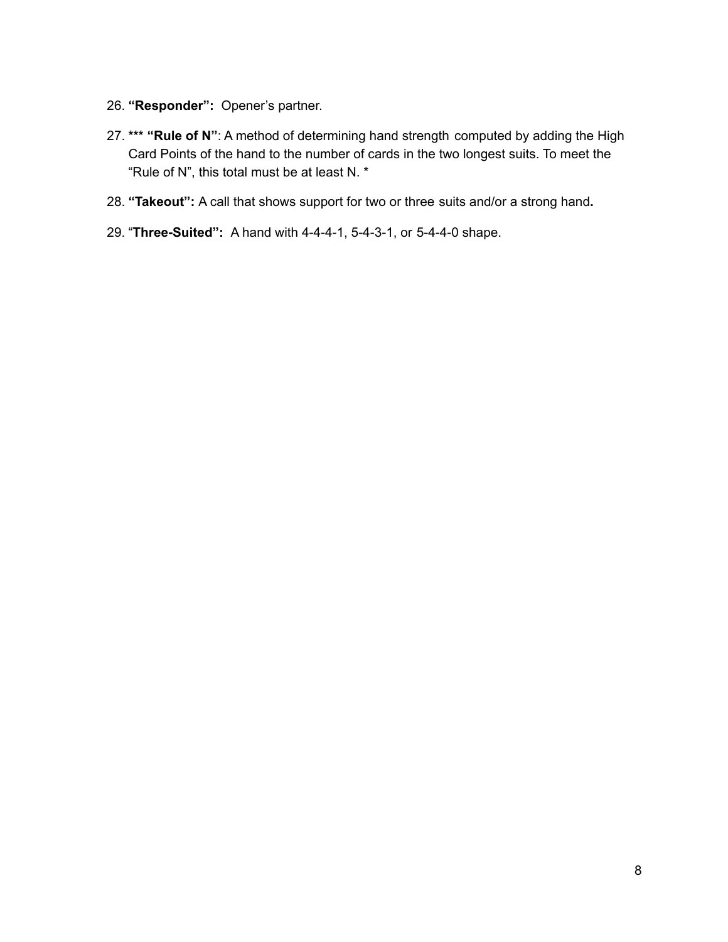- 26. **"Responder":** Opener's partner.
- 27. **\*\*\* "Rule of N"**: A method of determining hand strength computed by adding the High Card Points of the hand to the number of cards in the two longest suits. To meet the "Rule of N", this total must be at least N. \*
- 28. **"Takeout":** A call that shows support for two or three suits and/or a strong hand**.**
- 29. "**Three-Suited":** A hand with 4-4-4-1, 5-4-3-1, or 5-4-4-0 shape.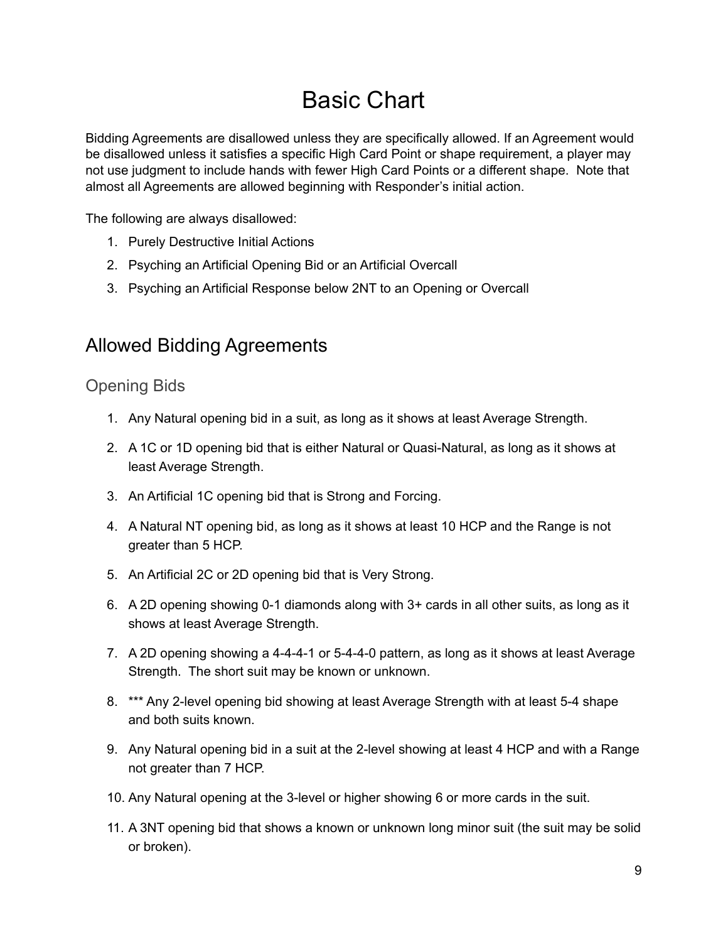# Basic Chart

Bidding Agreements are disallowed unless they are specifically allowed. If an Agreement would be disallowed unless it satisfies a specific High Card Point or shape requirement, a player may not use judgment to include hands with fewer High Card Points or a different shape. Note that almost all Agreements are allowed beginning with Responder's initial action.

The following are always disallowed:

- 1. Purely Destructive Initial Actions
- 2. Psyching an Artificial Opening Bid or an Artificial Overcall
- 3. Psyching an Artificial Response below 2NT to an Opening or Overcall

### Allowed Bidding Agreements

### Opening Bids

- 1. Any Natural opening bid in a suit, as long as it shows at least Average Strength.
- 2. A 1C or 1D opening bid that is either Natural or Quasi-Natural, as long as it shows at least Average Strength.
- 3. An Artificial 1C opening bid that is Strong and Forcing.
- 4. A Natural NT opening bid, as long as it shows at least 10 HCP and the Range is not greater than 5 HCP.
- 5. An Artificial 2C or 2D opening bid that is Very Strong.
- 6. A 2D opening showing 0-1 diamonds along with 3+ cards in all other suits, as long as it shows at least Average Strength.
- 7. A 2D opening showing a 4-4-4-1 or 5-4-4-0 pattern, as long as it shows at least Average Strength. The short suit may be known or unknown.
- 8. \*\*\* Any 2-level opening bid showing at least Average Strength with at least 5-4 shape and both suits known.
- 9. Any Natural opening bid in a suit at the 2-level showing at least 4 HCP and with a Range not greater than 7 HCP.
- 10. Any Natural opening at the 3-level or higher showing 6 or more cards in the suit.
- 11. A 3NT opening bid that shows a known or unknown long minor suit (the suit may be solid or broken).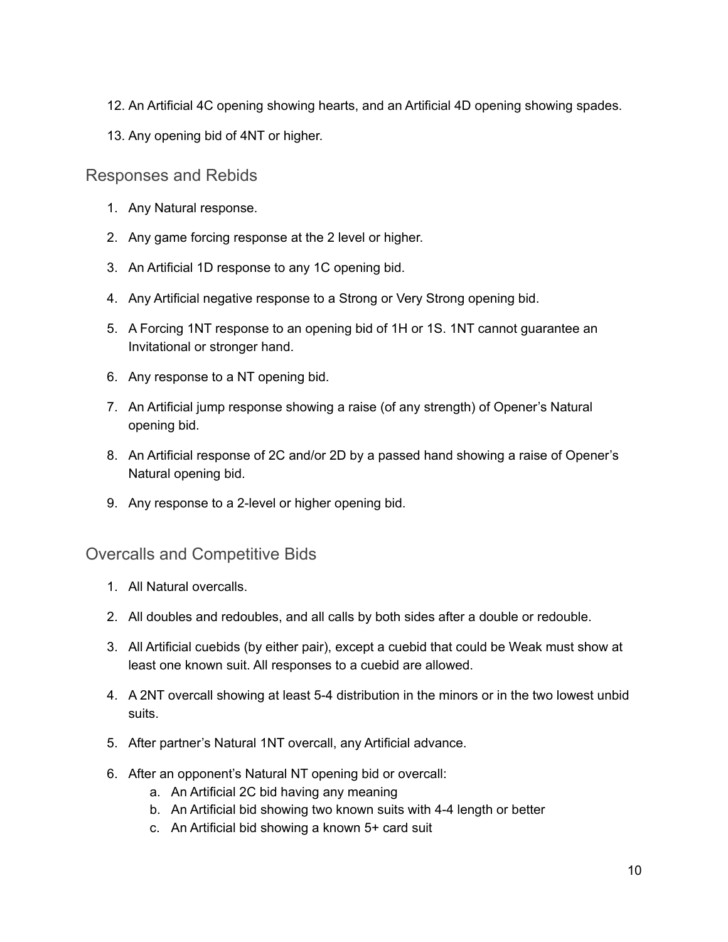- 12. An Artificial 4C opening showing hearts, and an Artificial 4D opening showing spades.
- 13. Any opening bid of 4NT or higher.

#### Responses and Rebids

- 1. Any Natural response.
- 2. Any game forcing response at the 2 level or higher.
- 3. An Artificial 1D response to any 1C opening bid.
- 4. Any Artificial negative response to a Strong or Very Strong opening bid.
- 5. A Forcing 1NT response to an opening bid of 1H or 1S. 1NT cannot guarantee an Invitational or stronger hand.
- 6. Any response to a NT opening bid.
- 7. An Artificial jump response showing a raise (of any strength) of Opener's Natural opening bid.
- 8. An Artificial response of 2C and/or 2D by a passed hand showing a raise of Opener's Natural opening bid.
- 9. Any response to a 2-level or higher opening bid.

#### Overcalls and Competitive Bids

- 1. All Natural overcalls.
- 2. All doubles and redoubles, and all calls by both sides after a double or redouble.
- 3. All Artificial cuebids (by either pair), except a cuebid that could be Weak must show at least one known suit. All responses to a cuebid are allowed.
- 4. A 2NT overcall showing at least 5-4 distribution in the minors or in the two lowest unbid suits.
- 5. After partner's Natural 1NT overcall, any Artificial advance.
- 6. After an opponent's Natural NT opening bid or overcall:
	- a. An Artificial 2C bid having any meaning
	- b. An Artificial bid showing two known suits with 4-4 length or better
	- c. An Artificial bid showing a known 5+ card suit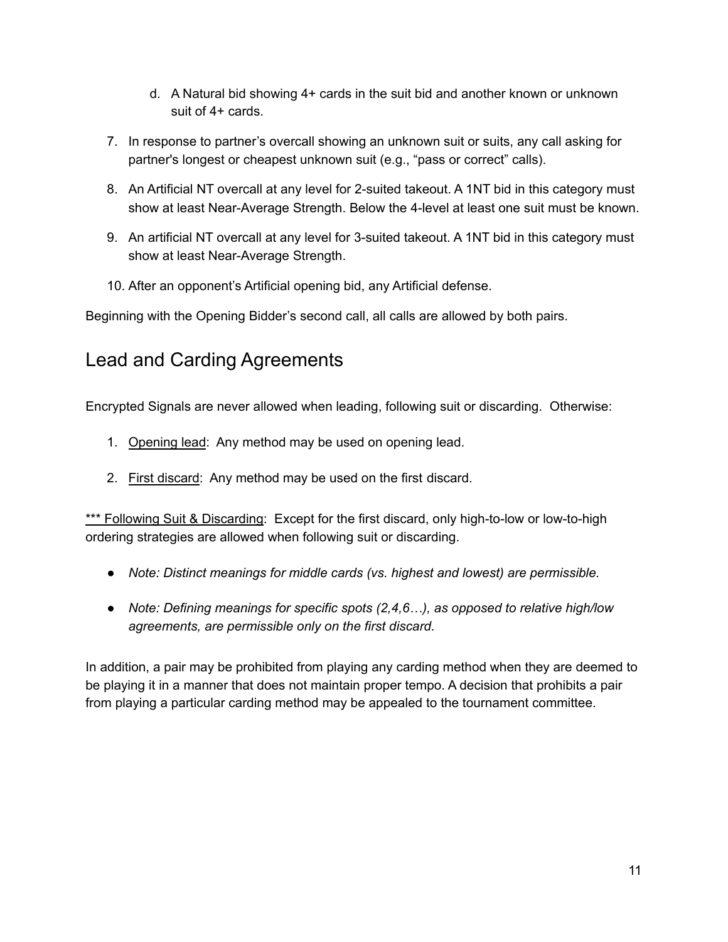- d. A Natural bid showing 4+ cards in the suit bid and another known or unknown suit of 4+ cards.
- 7. In response to partner's overcall showing an unknown suit or suits, any call asking for partner's longest or cheapest unknown suit (e.g., "pass or correct" calls).
- 8. An Artificial NT overcall at any level for 2-suited takeout. A 1NT bid in this category must show at least Near-Average Strength. Below the 4-level at least one suit must be known.
- 9. An artificial NT overcall at any level for 3-suited takeout. A 1NT bid in this category must show at least Near-Average Strength.
- 10. After an opponent's Artificial opening bid, any Artificial defense.

Beginning with the Opening Bidder's second call, all calls are allowed by both pairs.

### Lead and Carding Agreements

Encrypted Signals are never allowed when leading, following suit or discarding. Otherwise:

- 1. Opening lead: Any method may be used on opening lead.
- 2. First discard: Any method may be used on the first discard.

\*\*\* Following Suit & Discarding: Except for the first discard, only high-to-low or low-to-high ordering strategies are allowed when following suit or discarding.

- *● Note: Distinct meanings for middle cards (vs. highest and lowest) are permissible.*
- *● Note: Defining meanings for specific spots (2,4,6…), as opposed to relative high/low agreements, are permissible only on the first discard.*

In addition, a pair may be prohibited from playing any carding method when they are deemed to be playing it in a manner that does not maintain proper tempo. A decision that prohibits a pair from playing a particular carding method may be appealed to the tournament committee.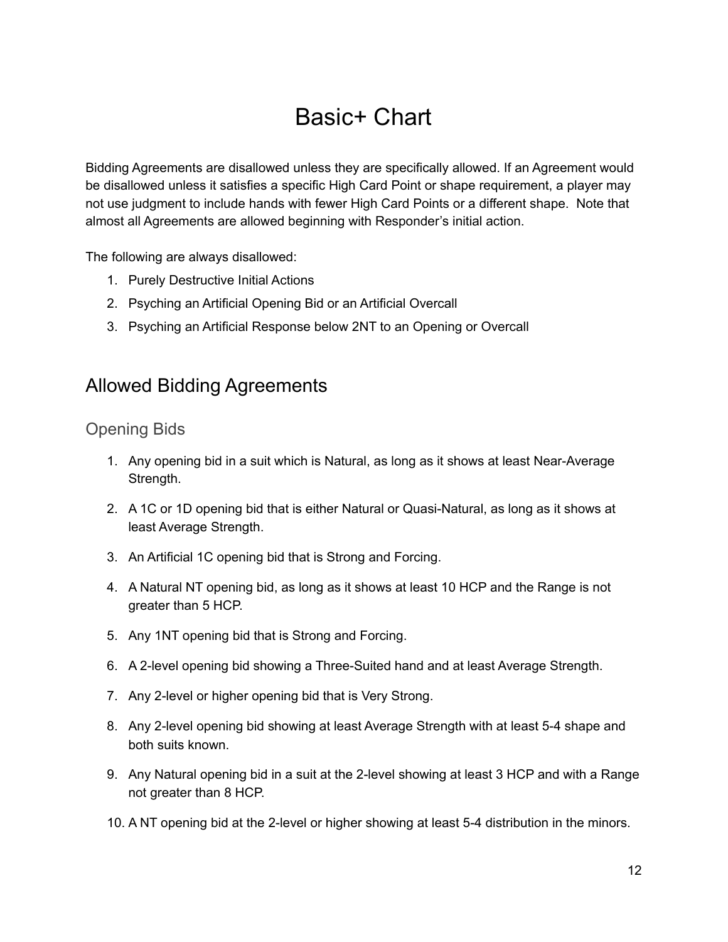## Basic+ Chart

Bidding Agreements are disallowed unless they are specifically allowed. If an Agreement would be disallowed unless it satisfies a specific High Card Point or shape requirement, a player may not use judgment to include hands with fewer High Card Points or a different shape. Note that almost all Agreements are allowed beginning with Responder's initial action.

The following are always disallowed:

- 1. Purely Destructive Initial Actions
- 2. Psyching an Artificial Opening Bid or an Artificial Overcall
- 3. Psyching an Artificial Response below 2NT to an Opening or Overcall

### Allowed Bidding Agreements

Opening Bids

- 1. Any opening bid in a suit which is Natural, as long as it shows at least Near-Average Strength.
- 2. A 1C or 1D opening bid that is either Natural or Quasi-Natural, as long as it shows at least Average Strength.
- 3. An Artificial 1C opening bid that is Strong and Forcing.
- 4. A Natural NT opening bid, as long as it shows at least 10 HCP and the Range is not greater than 5 HCP.
- 5. Any 1NT opening bid that is Strong and Forcing.
- 6. A 2-level opening bid showing a Three-Suited hand and at least Average Strength.
- 7. Any 2-level or higher opening bid that is Very Strong.
- 8. Any 2-level opening bid showing at least Average Strength with at least 5-4 shape and both suits known.
- 9. Any Natural opening bid in a suit at the 2-level showing at least 3 HCP and with a Range not greater than 8 HCP.
- 10. A NT opening bid at the 2-level or higher showing at least 5-4 distribution in the minors.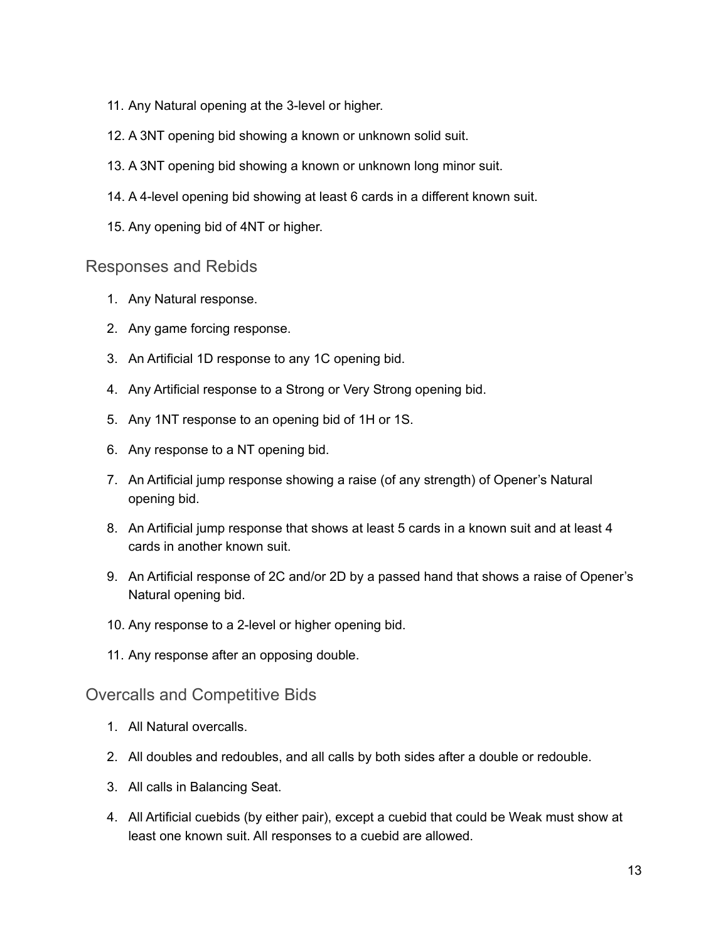- 11. Any Natural opening at the 3-level or higher.
- 12. A 3NT opening bid showing a known or unknown solid suit.
- 13. A 3NT opening bid showing a known or unknown long minor suit.
- 14. A 4-level opening bid showing at least 6 cards in a different known suit.
- 15. Any opening bid of 4NT or higher.

#### Responses and Rebids

- 1. Any Natural response.
- 2. Any game forcing response.
- 3. An Artificial 1D response to any 1C opening bid.
- 4. Any Artificial response to a Strong or Very Strong opening bid.
- 5. Any 1NT response to an opening bid of 1H or 1S.
- 6. Any response to a NT opening bid.
- 7. An Artificial jump response showing a raise (of any strength) of Opener's Natural opening bid.
- 8. An Artificial jump response that shows at least 5 cards in a known suit and at least 4 cards in another known suit.
- 9. An Artificial response of 2C and/or 2D by a passed hand that shows a raise of Opener's Natural opening bid.
- 10. Any response to a 2-level or higher opening bid.
- 11. Any response after an opposing double.

Overcalls and Competitive Bids

- 1. All Natural overcalls.
- 2. All doubles and redoubles, and all calls by both sides after a double or redouble.
- 3. All calls in Balancing Seat.
- 4. All Artificial cuebids (by either pair), except a cuebid that could be Weak must show at least one known suit. All responses to a cuebid are allowed.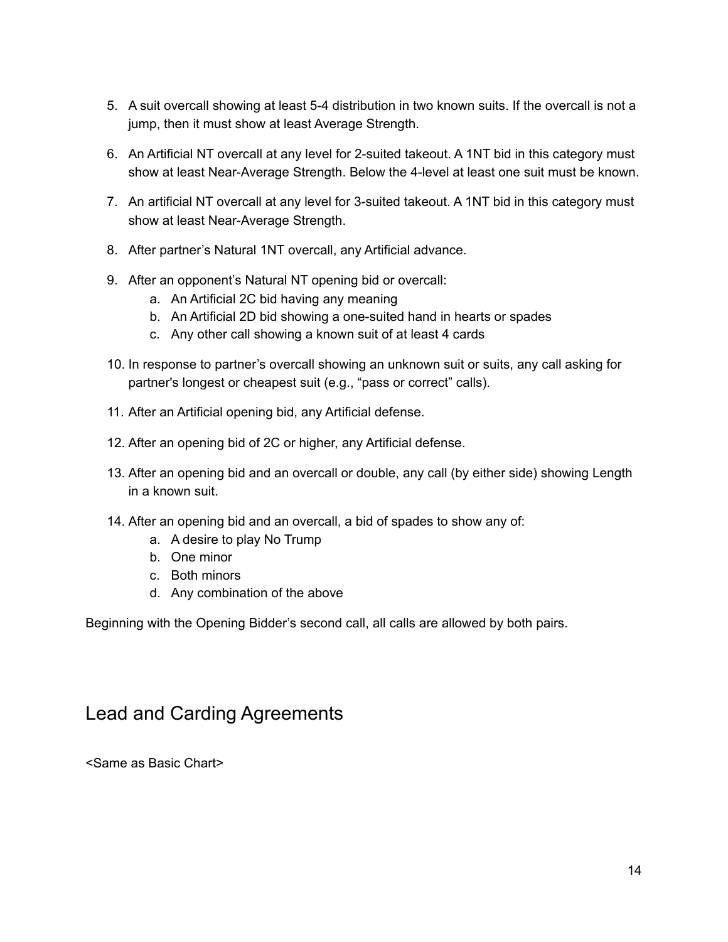- 5. A suit overcall showing at least 5-4 distribution in two known suits. If the overcall is not a jump, then it must show at least Average Strength.
- 6. An Artificial NT overcall at any level for 2-suited takeout. A 1NT bid in this category must show at least Near-Average Strength. Below the 4-level at least one suit must be known.
- 7. An artificial NT overcall at any level for 3-suited takeout. A 1NT bid in this category must show at least Near-Average Strength.
- 8. After partner's Natural 1NT overcall, any Artificial advance.
- 9. After an opponent's Natural NT opening bid or overcall:
	- a. An Artificial 2C bid having any meaning
	- b. An Artificial 2D bid showing a one-suited hand in hearts or spades
	- c. Any other call showing a known suit of at least 4 cards
- 10. In response to partner's overcall showing an unknown suit or suits, any call asking for partner's longest or cheapest suit (e.g., "pass or correct" calls).
- 11. After an Artificial opening bid, any Artificial defense.
- 12. After an opening bid of 2C or higher, any Artificial defense.
- 13. After an opening bid and an overcall or double, any call (by either side) showing Length in a known suit.
- 14. After an opening bid and an overcall, a bid of spades to show any of:
	- a. A desire to play No Trump
	- b. One minor
	- c. Both minors
	- d. Any combination of the above

Beginning with the Opening Bidder's second call, all calls are allowed by both pairs.

### Lead and Carding Agreements

<Same as Basic Chart>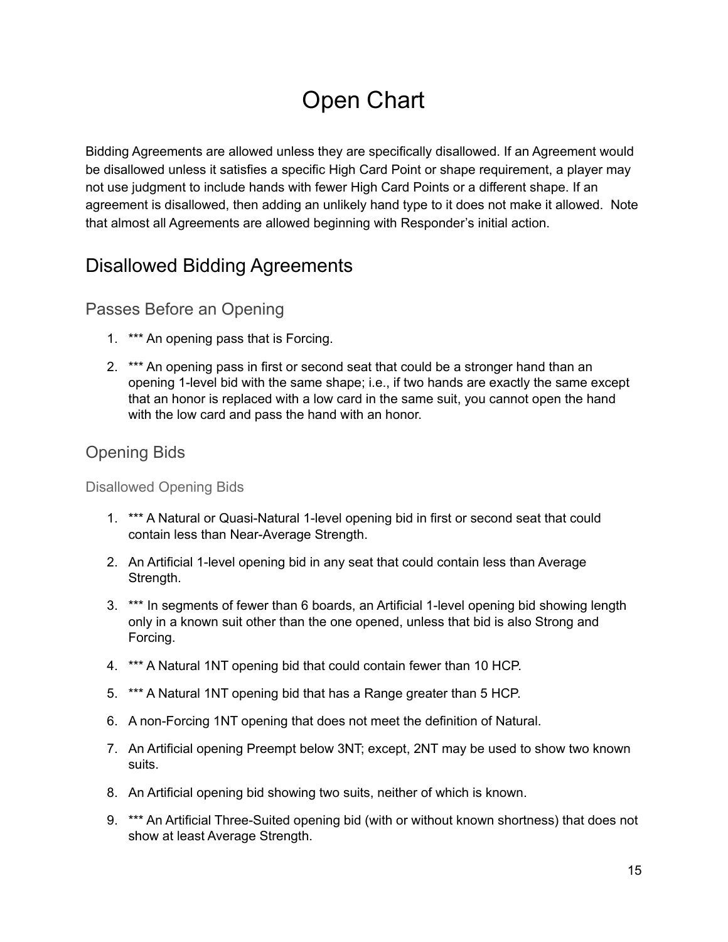# Open Chart

Bidding Agreements are allowed unless they are specifically disallowed. If an Agreement would be disallowed unless it satisfies a specific High Card Point or shape requirement, a player may not use judgment to include hands with fewer High Card Points or a different shape. If an agreement is disallowed, then adding an unlikely hand type to it does not make it allowed. Note that almost all Agreements are allowed beginning with Responder's initial action.

### Disallowed Bidding Agreements

### Passes Before an Opening

- 1. \*\*\* An opening pass that is Forcing.
- 2. \*\*\* An opening pass in first or second seat that could be a stronger hand than an opening 1-level bid with the same shape; i.e., if two hands are exactly the same except that an honor is replaced with a low card in the same suit, you cannot open the hand with the low card and pass the hand with an honor.

### Opening Bids

Disallowed Opening Bids

- 1. \*\*\* A Natural or Quasi-Natural 1-level opening bid in first or second seat that could contain less than Near-Average Strength.
- 2. An Artificial 1-level opening bid in any seat that could contain less than Average Strength.
- 3. \*\*\* In segments of fewer than 6 boards, an Artificial 1-level opening bid showing length only in a known suit other than the one opened, unless that bid is also Strong and Forcing.
- 4. \*\*\* A Natural 1NT opening bid that could contain fewer than 10 HCP.
- 5. \*\*\* A Natural 1NT opening bid that has a Range greater than 5 HCP.
- 6. A non-Forcing 1NT opening that does not meet the definition of Natural.
- 7. An Artificial opening Preempt below 3NT; except, 2NT may be used to show two known suits.
- 8. An Artificial opening bid showing two suits, neither of which is known.
- 9. \*\*\* An Artificial Three-Suited opening bid (with or without known shortness) that does not show at least Average Strength.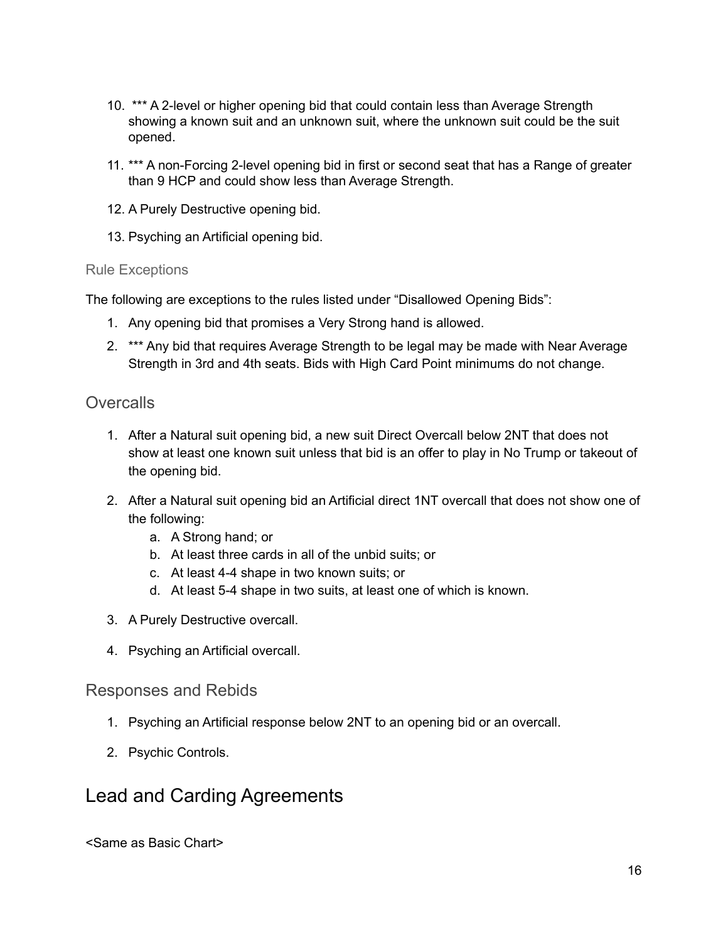- 10. \*\*\* A 2-level or higher opening bid that could contain less than Average Strength showing a known suit and an unknown suit, where the unknown suit could be the suit opened.
- 11. \*\*\* A non-Forcing 2-level opening bid in first or second seat that has a Range of greater than 9 HCP and could show less than Average Strength.
- 12. A Purely Destructive opening bid.
- 13. Psyching an Artificial opening bid.

#### Rule Exceptions

The following are exceptions to the rules listed under "Disallowed Opening Bids":

- 1. Any opening bid that promises a Very Strong hand is allowed.
- 2. \*\*\* Any bid that requires Average Strength to be legal may be made with Near Average Strength in 3rd and 4th seats. Bids with High Card Point minimums do not change.

### **Overcalls**

- 1. After a Natural suit opening bid, a new suit Direct Overcall below 2NT that does not show at least one known suit unless that bid is an offer to play in No Trump or takeout of the opening bid.
- 2. After a Natural suit opening bid an Artificial direct 1NT overcall that does not show one of the following:
	- a. A Strong hand; or
	- b. At least three cards in all of the unbid suits; or
	- c. At least 4-4 shape in two known suits; or
	- d. At least 5-4 shape in two suits, at least one of which is known.
- 3. A Purely Destructive overcall.
- 4. Psyching an Artificial overcall.

#### Responses and Rebids

- 1. Psyching an Artificial response below 2NT to an opening bid or an overcall.
- 2. Psychic Controls.

### Lead and Carding Agreements

<Same as Basic Chart>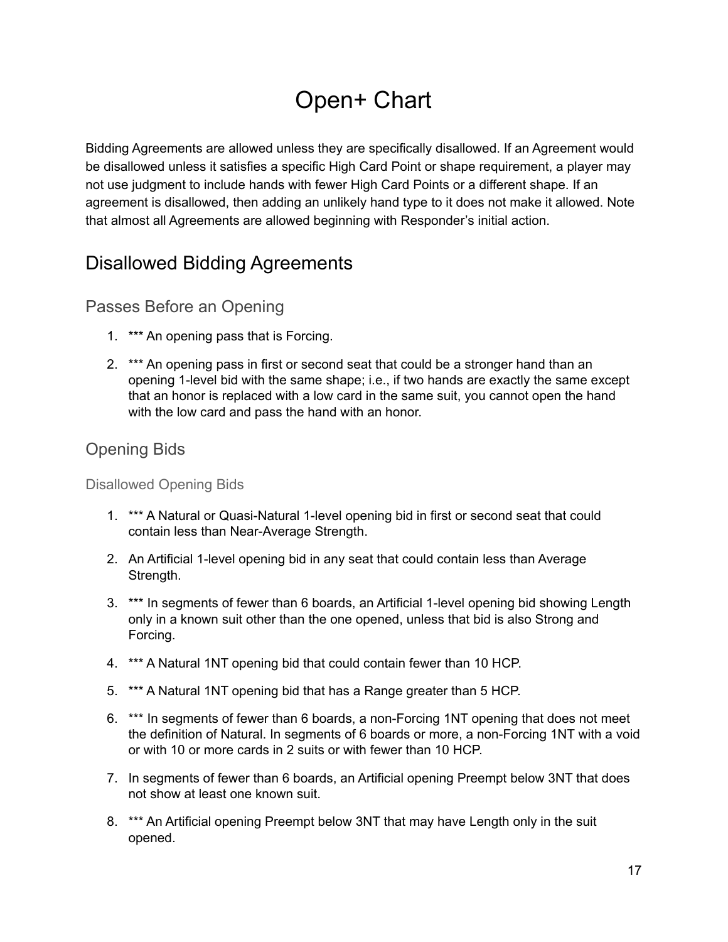# Open+ Chart

Bidding Agreements are allowed unless they are specifically disallowed. If an Agreement would be disallowed unless it satisfies a specific High Card Point or shape requirement, a player may not use judgment to include hands with fewer High Card Points or a different shape. If an agreement is disallowed, then adding an unlikely hand type to it does not make it allowed. Note that almost all Agreements are allowed beginning with Responder's initial action.

### Disallowed Bidding Agreements

### Passes Before an Opening

- 1. \*\*\* An opening pass that is Forcing.
- 2. \*\*\* An opening pass in first or second seat that could be a stronger hand than an opening 1-level bid with the same shape; i.e., if two hands are exactly the same except that an honor is replaced with a low card in the same suit, you cannot open the hand with the low card and pass the hand with an honor.

### Opening Bids

Disallowed Opening Bids

- 1. \*\*\* A Natural or Quasi-Natural 1-level opening bid in first or second seat that could contain less than Near-Average Strength.
- 2. An Artificial 1-level opening bid in any seat that could contain less than Average Strength.
- 3. \*\*\* In segments of fewer than 6 boards, an Artificial 1-level opening bid showing Length only in a known suit other than the one opened, unless that bid is also Strong and Forcing.
- 4. \*\*\* A Natural 1NT opening bid that could contain fewer than 10 HCP.
- 5. \*\*\* A Natural 1NT opening bid that has a Range greater than 5 HCP.
- 6. \*\*\* In segments of fewer than 6 boards, a non-Forcing 1NT opening that does not meet the definition of Natural. In segments of 6 boards or more, a non-Forcing 1NT with a void or with 10 or more cards in 2 suits or with fewer than 10 HCP.
- 7. In segments of fewer than 6 boards, an Artificial opening Preempt below 3NT that does not show at least one known suit.
- 8. \*\*\* An Artificial opening Preempt below 3NT that may have Length only in the suit opened.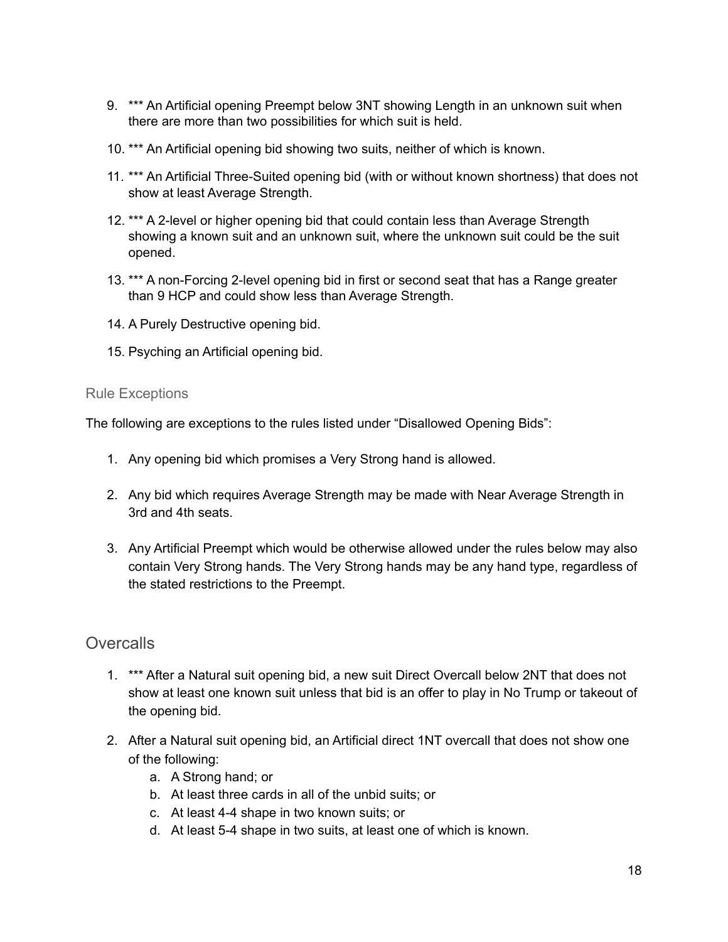- 9. \*\*\* An Artificial opening Preempt below 3NT showing Length in an unknown suit when there are more than two possibilities for which suit is held.
- 10. \*\*\* An Artificial opening bid showing two suits, neither of which is known.
- 11. \*\*\* An Artificial Three-Suited opening bid (with or without known shortness) that does not show at least Average Strength.
- 12. \*\*\* A 2-level or higher opening bid that could contain less than Average Strength showing a known suit and an unknown suit, where the unknown suit could be the suit opened.
- 13. \*\*\* A non-Forcing 2-level opening bid in first or second seat that has a Range greater than 9 HCP and could show less than Average Strength.
- 14. A Purely Destructive opening bid.
- 15. Psyching an Artificial opening bid.

#### Rule Exceptions

The following are exceptions to the rules listed under "Disallowed Opening Bids":

- 1. Any opening bid which promises a Very Strong hand is allowed.
- 2. Any bid which requires Average Strength may be made with Near Average Strength in 3rd and 4th seats.
- 3. Any Artificial Preempt which would be otherwise allowed under the rules below may also contain Very Strong hands. The Very Strong hands may be any hand type, regardless of the stated restrictions to the Preempt.

### **Overcalls**

- 1. \*\*\* After a Natural suit opening bid, a new suit Direct Overcall below 2NT that does not show at least one known suit unless that bid is an offer to play in No Trump or takeout of the opening bid.
- 2. After a Natural suit opening bid, an Artificial direct 1NT overcall that does not show one of the following:
	- a. A Strong hand; or
	- b. At least three cards in all of the unbid suits; or
	- c. At least 4-4 shape in two known suits; or
	- d. At least 5-4 shape in two suits, at least one of which is known.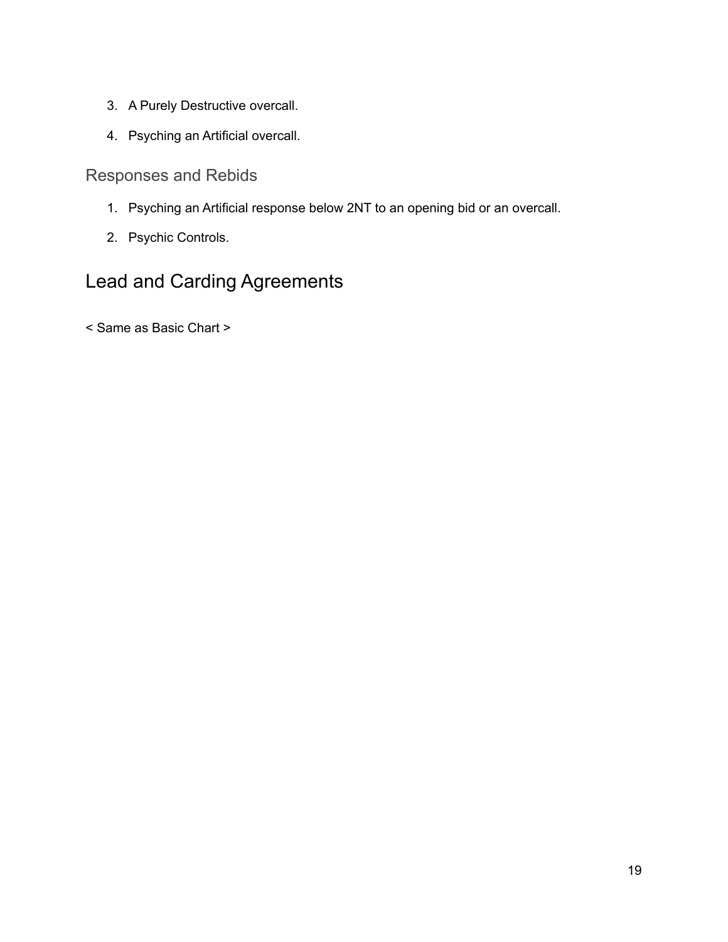- 3. A Purely Destructive overcall.
- 4. Psyching an Artificial overcall.

Responses and Rebids

- 1. Psyching an Artificial response below 2NT to an opening bid or an overcall.
- 2. Psychic Controls.

### Lead and Carding Agreements

< Same as Basic Chart >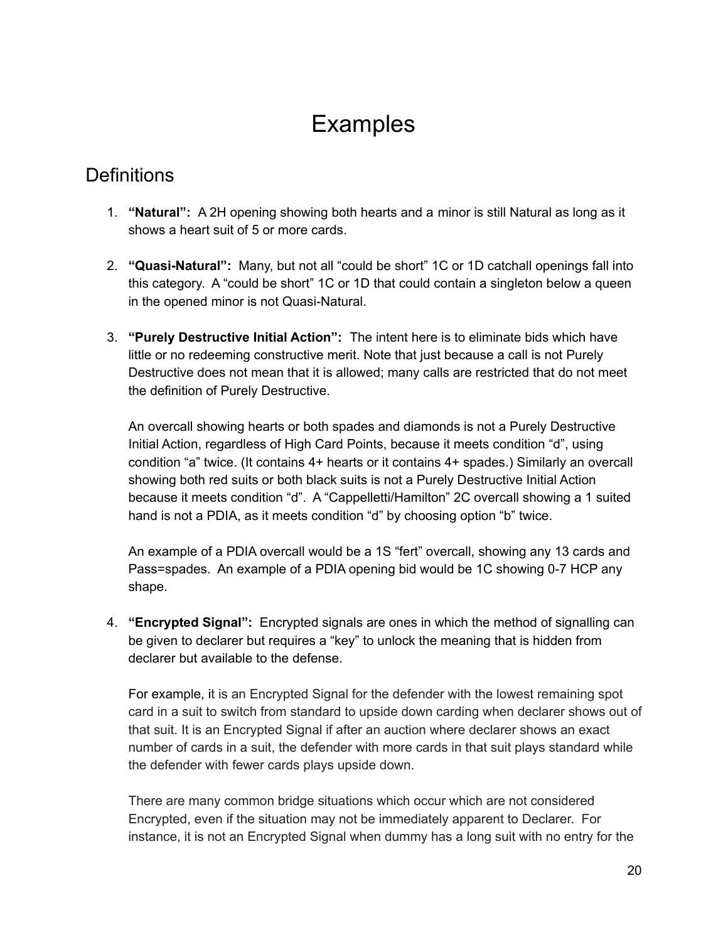## Examples

### **Definitions**

- 1. **"Natural":** A 2H opening showing both hearts and a minor is still Natural as long as it shows a heart suit of 5 or more cards.
- 2. **"Quasi-Natural":** Many, but not all "could be short" 1C or 1D catchall openings fall into this category. A "could be short" 1C or 1D that could contain a singleton below a queen in the opened minor is not Quasi-Natural.
- 3. **"Purely Destructive Initial Action":** The intent here is to eliminate bids which have little or no redeeming constructive merit. Note that just because a call is not Purely Destructive does not mean that it is allowed; many calls are restricted that do not meet the definition of Purely Destructive.

An overcall showing hearts or both spades and diamonds is not a Purely Destructive Initial Action, regardless of High Card Points, because it meets condition "d", using condition "a" twice. (It contains 4+ hearts or it contains 4+ spades.) Similarly an overcall showing both red suits or both black suits is not a Purely Destructive Initial Action because it meets condition "d". A "Cappelletti/Hamilton" 2C overcall showing a 1 suited hand is not a PDIA, as it meets condition "d" by choosing option "b" twice.

An example of a PDIA overcall would be a 1S "fert" overcall, showing any 13 cards and Pass=spades. An example of a PDIA opening bid would be 1C showing 0-7 HCP any shape.

4. **"Encrypted Signal":** Encrypted signals are ones in which the method of signalling can be given to declarer but requires a "key" to unlock the meaning that is hidden from declarer but available to the defense.

For example, it is an Encrypted Signal for the defender with the lowest remaining spot card in a suit to switch from standard to upside down carding when declarer shows out of that suit. It is an Encrypted Signal if after an auction where declarer shows an exact number of cards in a suit, the defender with more cards in that suit plays standard while the defender with fewer cards plays upside down.

There are many common bridge situations which occur which are not considered Encrypted, even if the situation may not be immediately apparent to Declarer. For instance, it is not an Encrypted Signal when dummy has a long suit with no entry for the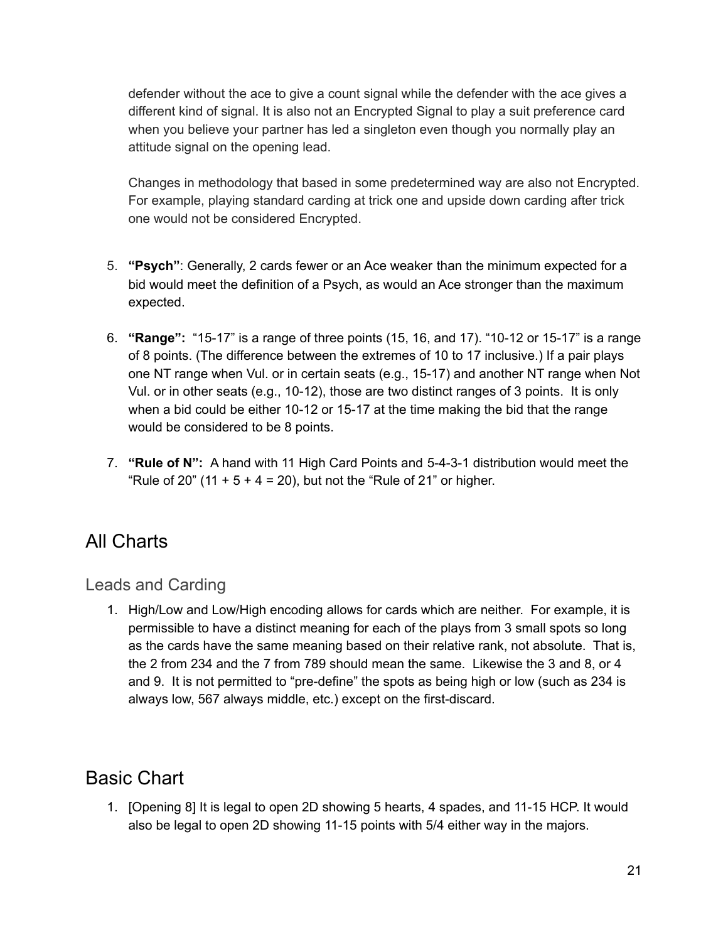defender without the ace to give a count signal while the defender with the ace gives a different kind of signal. It is also not an Encrypted Signal to play a suit preference card when you believe your partner has led a singleton even though you normally play an attitude signal on the opening lead.

Changes in methodology that based in some predetermined way are also not Encrypted. For example, playing standard carding at trick one and upside down carding after trick one would not be considered Encrypted.

- 5. **"Psych"**: Generally, 2 cards fewer or an Ace weaker than the minimum expected for a bid would meet the definition of a Psych, as would an Ace stronger than the maximum expected.
- 6. **"Range":** "15-17" is a range of three points (15, 16, and 17). "10-12 or 15-17" is a range of 8 points. (The difference between the extremes of 10 to 17 inclusive.) If a pair plays one NT range when Vul. or in certain seats (e.g., 15-17) and another NT range when Not Vul. or in other seats (e.g., 10-12), those are two distinct ranges of 3 points. It is only when a bid could be either 10-12 or 15-17 at the time making the bid that the range would be considered to be 8 points.
- 7. **"Rule of N":** A hand with 11 High Card Points and 5-4-3-1 distribution would meet the "Rule of 20" (11 +  $5 + 4 = 20$ ), but not the "Rule of 21" or higher.

### All Charts

Leads and Carding

1. High/Low and Low/High encoding allows for cards which are neither. For example, it is permissible to have a distinct meaning for each of the plays from 3 small spots so long as the cards have the same meaning based on their relative rank, not absolute. That is, the 2 from 234 and the 7 from 789 should mean the same. Likewise the 3 and 8, or 4 and 9. It is not permitted to "pre-define" the spots as being high or low (such as 234 is always low, 567 always middle, etc.) except on the first-discard.

### Basic Chart

1. [Opening 8] It is legal to open 2D showing 5 hearts, 4 spades, and 11-15 HCP. It would also be legal to open 2D showing 11-15 points with 5/4 either way in the majors.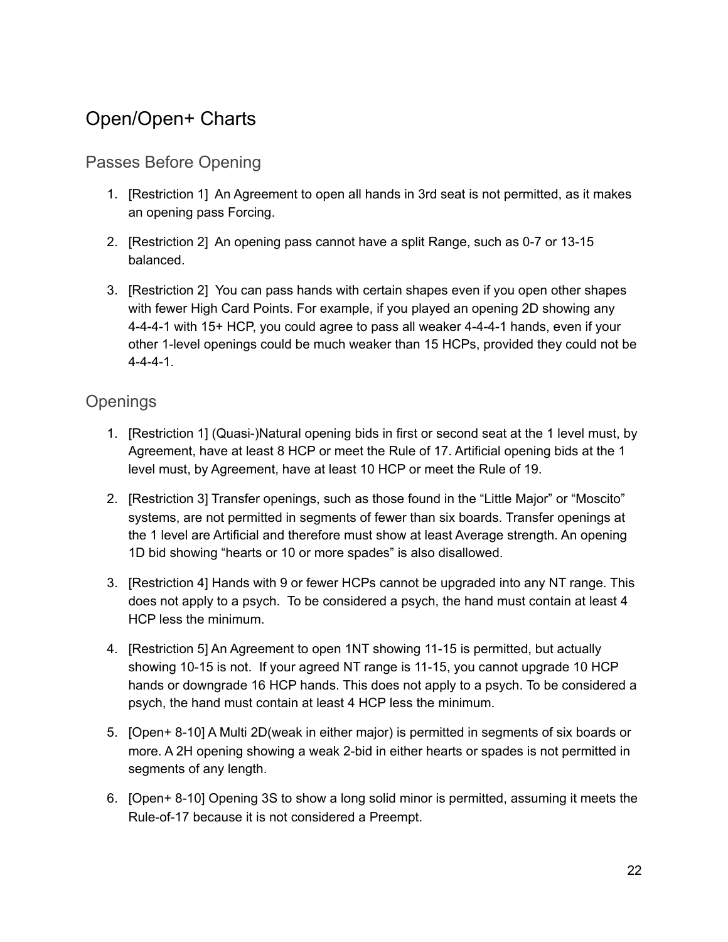### Open/Open+ Charts

### Passes Before Opening

- 1. [Restriction 1] An Agreement to open all hands in 3rd seat is not permitted, as it makes an opening pass Forcing.
- 2. [Restriction 2] An opening pass cannot have a split Range, such as 0-7 or 13-15 balanced.
- 3. [Restriction 2] You can pass hands with certain shapes even if you open other shapes with fewer High Card Points. For example, if you played an opening 2D showing any 4-4-4-1 with 15+ HCP, you could agree to pass all weaker 4-4-4-1 hands, even if your other 1-level openings could be much weaker than 15 HCPs, provided they could not be 4-4-4-1.

### **Openings**

- 1. [Restriction 1] (Quasi-)Natural opening bids in first or second seat at the 1 level must, by Agreement, have at least 8 HCP or meet the Rule of 17. Artificial opening bids at the 1 level must, by Agreement, have at least 10 HCP or meet the Rule of 19.
- 2. [Restriction 3] Transfer openings, such as those found in the "Little Major" or "Moscito" systems, are not permitted in segments of fewer than six boards. Transfer openings at the 1 level are Artificial and therefore must show at least Average strength. An opening 1D bid showing "hearts or 10 or more spades" is also disallowed.
- 3. [Restriction 4] Hands with 9 or fewer HCPs cannot be upgraded into any NT range. This does not apply to a psych. To be considered a psych, the hand must contain at least 4 HCP less the minimum.
- 4. [Restriction 5] An Agreement to open 1NT showing 11-15 is permitted, but actually showing 10-15 is not. If your agreed NT range is 11-15, you cannot upgrade 10 HCP hands or downgrade 16 HCP hands. This does not apply to a psych. To be considered a psych, the hand must contain at least 4 HCP less the minimum.
- 5. [Open+ 8-10] A Multi 2D(weak in either major) is permitted in segments of six boards or more. A 2H opening showing a weak 2-bid in either hearts or spades is not permitted in segments of any length.
- 6. [Open+ 8-10] Opening 3S to show a long solid minor is permitted, assuming it meets the Rule-of-17 because it is not considered a Preempt.